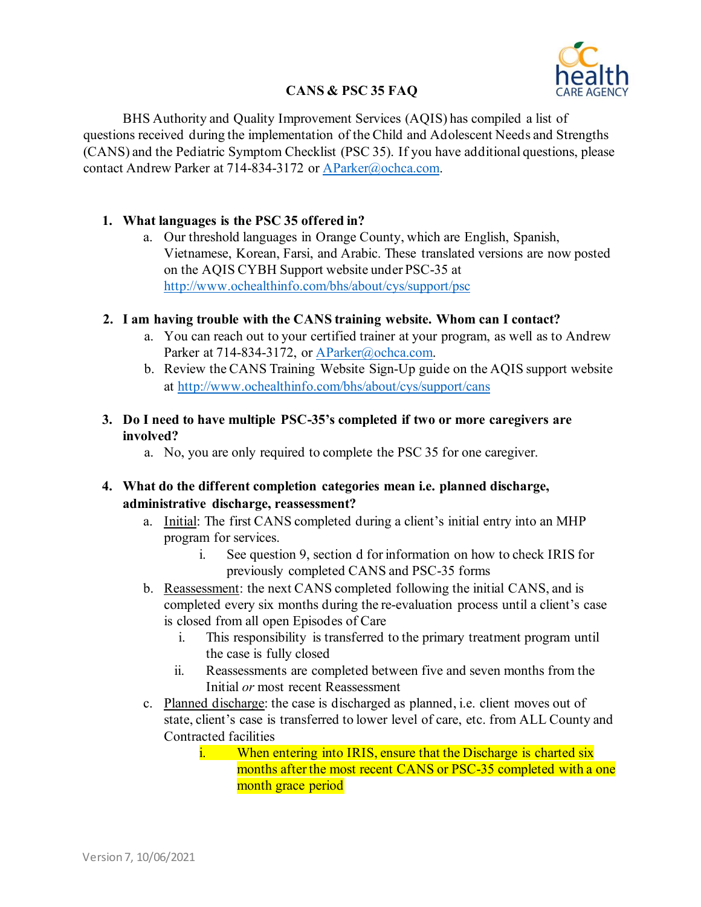

# **CANS & PSC 35 FAQ**

BHS Authority and Quality Improvement Services (AQIS) has compiled a list of questions received during the implementation of the Child and Adolescent Needs and Strengths (CANS) and the Pediatric Symptom Checklist (PSC 35). If you have additional questions, please contact Andrew Parker at 714-834-3172 or [AParker@ochca.com.](mailto:AParker@ochca.com)

#### **1. What languages is the PSC 35 offered in?**

a. Our threshold languages in Orange County, which are English, Spanish, Vietnamese, Korean, Farsi, and Arabic. These translated versions are now posted on the AQIS CYBH Support website under PSC-35 at <http://www.ochealthinfo.com/bhs/about/cys/support/psc>

## **2. I am having trouble with the CANS training website. Whom can I contact?**

- a. You can reach out to your certified trainer at your program, as well as to Andrew Parker at 714-834-3172, or [AParker@ochca.com.](mailto:AParker@ochca.com)
- b. Review the CANS Training Website Sign-Up guide on the AQIS support website at<http://www.ochealthinfo.com/bhs/about/cys/support/cans>

### **3. Do I need to have multiple PSC-35's completed if two or more caregivers are involved?**

a. No, you are only required to complete the PSC 35 for one caregiver.

# **4. What do the different completion categories mean i.e. planned discharge, administrative discharge, reassessment?**

- a. Initial: The first CANS completed during a client's initial entry into an MHP program for services.
	- i. See question 9, section d for information on how to check IRIS for previously completed CANS and PSC-35 forms
- b. Reassessment: the next CANS completed following the initial CANS, and is completed every six months during the re-evaluation process until a client's case is closed from all open Episodes of Care
	- i. This responsibility is transferred to the primary treatment program until the case is fully closed
	- ii. Reassessments are completed between five and seven months from the Initial *or* most recent Reassessment
- c. Planned discharge: the case is discharged as planned, i.e. client moves out of state, client's case is transferred to lower level of care, etc. from ALL County and Contracted facilities
	- i. When entering into IRIS, ensure that the Discharge is charted six months after the most recent CANS or PSC-35 completed with a one month grace period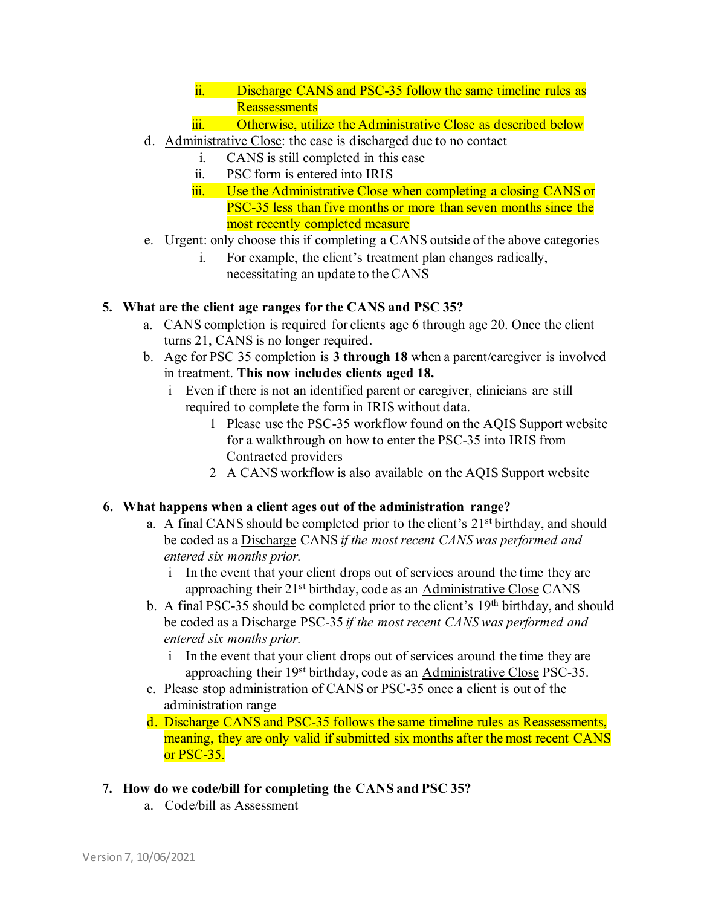- ii. Discharge CANS and PSC-35 follow the same timeline rules as **Reassessments**
- iii. Otherwise, utilize the Administrative Close as described below
- d. Administrative Close: the case is discharged due to no contact
	- i. CANS is still completed in this case
	- ii. PSC form is entered into IRIS
	- iii. Use the Administrative Close when completing a closing CANS or PSC-35 less than five months or more than seven months since the most recently completed measure
- e. Urgent: only choose this if completing a CANS outside of the above categories
	- i. For example, the client's treatment plan changes radically, necessitating an update to the CANS

## **5. What are the client age ranges for the CANS and PSC 35?**

- a. CANS completion is required for clients age 6 through age 20. Once the client turns 21, CANS is no longer required.
- b. Age for PSC 35 completion is **3 through 18** when a parent/caregiver is involved in treatment. **This now includes clients aged 18.**
	- i Even if there is not an identified parent or caregiver, clinicians are still required to complete the form in IRIS without data.
		- 1 Please use the PSC-35 workflow found on the AQIS Support website for a walkthrough on how to enter the PSC-35 into IRIS from Contracted providers
		- 2 A CANS workflow is also available on the AQIS Support website

# **6. What happens when a client ages out of the administration range?**

- a. A final CANS should be completed prior to the client's 21st birthday, and should be coded as a Discharge CANS *if the most recent CANS was performed and entered six months prior.*
	- i In the event that your client drops out of services around the time they are approaching their 21<sup>st</sup> birthday, code as an Administrative Close CANS
- b. A final PSC-35 should be completed prior to the client's 19<sup>th</sup> birthday, and should be coded as a Discharge PSC-35 *if the most recent CANS was performed and entered six months prior.*
	- i In the event that your client drops out of services around the time they are approaching their 19<sup>st</sup> birthday, code as an Administrative Close PSC-35.
- c. Please stop administration of CANS or PSC-35 once a client is out of the administration range
- d. Discharge CANS and PSC-35 follows the same timeline rules as Reassessments, meaning, they are only valid if submitted six months after the most recent CANS or PSC-35.
- **7. How do we code/bill for completing the CANS and PSC 35?**
	- a. Code/bill as Assessment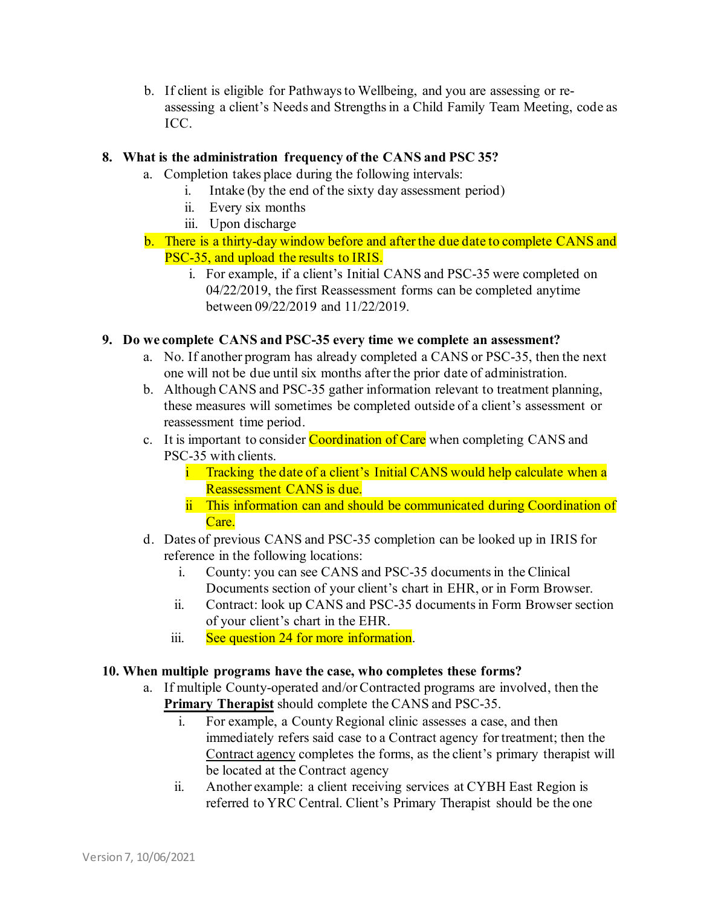b. If client is eligible for Pathways to Wellbeing, and you are assessing or reassessing a client's Needs and Strengths in a Child Family Team Meeting, code as ICC.

### **8. What is the administration frequency of the CANS and PSC 35?**

- a. Completion takes place during the following intervals:
	- i. Intake (by the end of the sixty day assessment period)
	- ii. Every six months
	- iii. Upon discharge
- b. There is a thirty-day window before and after the due date to complete CANS and PSC-35, and upload the results to IRIS.
	- i. For example, if a client's Initial CANS and PSC-35 were completed on 04/22/2019, the first Reassessment forms can be completed anytime between 09/22/2019 and 11/22/2019.

#### **9. Do we complete CANS and PSC-35 every time we complete an assessment?**

- a. No. If another program has already completed a CANS or PSC-35, then the next one will not be due until six months after the prior date of administration.
- b. Although CANS and PSC-35 gather information relevant to treatment planning, these measures will sometimes be completed outside of a client's assessment or reassessment time period.
- c. It is important to consider Coordination of Care when completing CANS and PSC-35 with clients.
	- i Tracking the date of a client's Initial CANS would help calculate when a Reassessment CANS is due.
	- ii This information can and should be communicated during Coordination of Care.
- d. Dates of previous CANS and PSC-35 completion can be looked up in IRIS for reference in the following locations:
	- i. County: you can see CANS and PSC-35 documents in the Clinical Documents section of your client's chart in EHR, or in Form Browser.
	- ii. Contract: look up CANS and PSC-35 documents in Form Browser section of your client's chart in the EHR.
	- iii. See question 24 for more information.

#### **10. When multiple programs have the case, who completes these forms?**

- a. If multiple County-operated and/or Contracted programs are involved, then the **Primary Therapist** should complete the CANS and PSC-35.
	- i. For example, a County Regional clinic assesses a case, and then immediately refers said case to a Contract agency for treatment; then the Contract agency completes the forms, as the client's primary therapist will be located at the Contract agency
	- ii. Another example: a client receiving services at CYBH East Region is referred to YRC Central. Client's Primary Therapist should be the one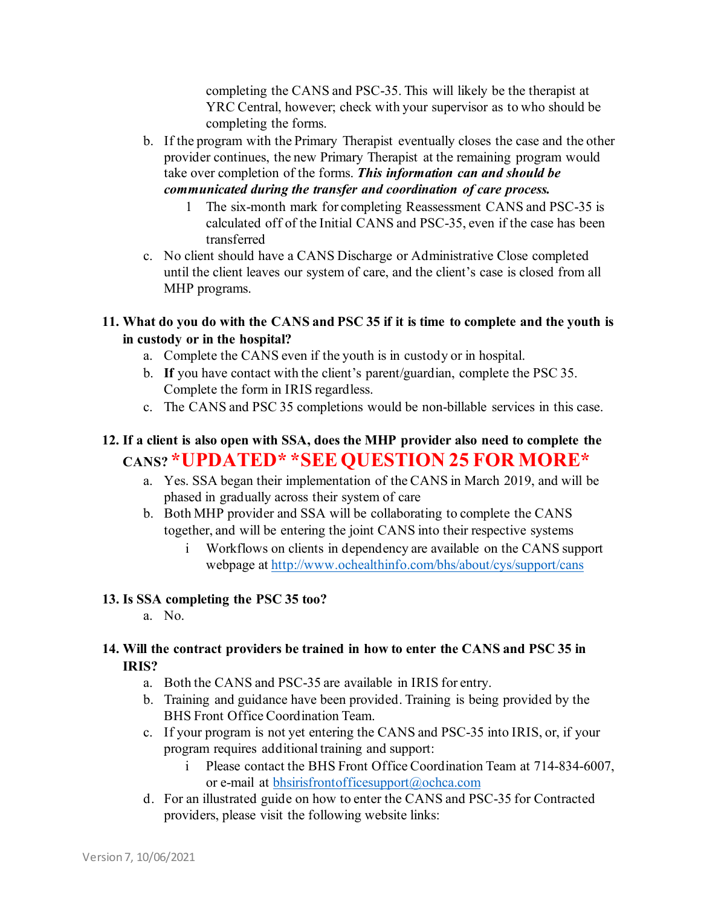completing the CANS and PSC-35. This will likely be the therapist at YRC Central, however; check with your supervisor as to who should be completing the forms.

- b. If the program with the Primary Therapist eventually closes the case and the other provider continues, the new Primary Therapist at the remaining program would take over completion of the forms. *This information can and should be communicated during the transfer and coordination of care process.*
	- 1 The six-month mark for completing Reassessment CANS and PSC-35 is calculated off of the Initial CANS and PSC-35, even if the case has been transferred
- c. No client should have a CANS Discharge or Administrative Close completed until the client leaves our system of care, and the client's case is closed from all MHP programs.
- **11. What do you do with the CANS and PSC 35 if it is time to complete and the youth is in custody or in the hospital?** 
	- a. Complete the CANS even if the youth is in custody or in hospital.
	- b. **If** you have contact with the client's parent/guardian, complete the PSC 35. Complete the form in IRIS regardless.
	- c. The CANS and PSC 35 completions would be non-billable services in this case.

# **12. If a client is also open with SSA, does the MHP provider also need to complete the CANS? \*UPDATED\* \*SEE QUESTION 25 FOR MORE\***

- a. Yes. SSA began their implementation of the CANS in March 2019, and will be phased in gradually across their system of care
- b. Both MHP provider and SSA will be collaborating to complete the CANS together, and will be entering the joint CANS into their respective systems
	- i Workflows on clients in dependency are available on the CANS support webpage at<http://www.ochealthinfo.com/bhs/about/cys/support/cans>

# **13. Is SSA completing the PSC 35 too?**

a. No.

# **14. Will the contract providers be trained in how to enter the CANS and PSC 35 in IRIS?**

- a. Both the CANS and PSC-35 are available in IRIS for entry.
- b. Training and guidance have been provided. Training is being provided by the BHS Front Office Coordination Team.
- c. If your program is not yet entering the CANS and PSC-35 into IRIS, or, if your program requires additional training and support:
	- i Please contact the BHS Front Office Coordination Team at 714-834-6007, or e-mail at [bhsirisfrontofficesupport@ochca.com](mailto:bhsirisfrontofficesupport@ochca.com)
- d. For an illustrated guide on how to enter the CANS and PSC-35 for Contracted providers, please visit the following website links: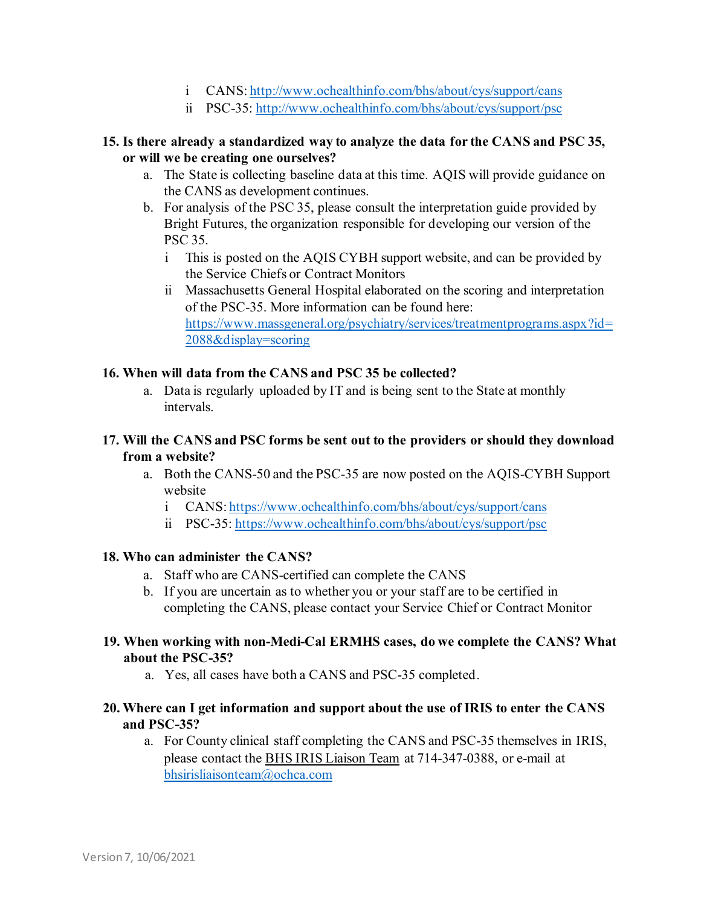- i CANS[: http://www.ochealthinfo.com/bhs/about/cys/support/cans](http://www.ochealthinfo.com/bhs/about/cys/support/cans)
- ii PSC-35:<http://www.ochealthinfo.com/bhs/about/cys/support/psc>

#### **15. Is there already a standardized way to analyze the data for the CANS and PSC 35, or will we be creating one ourselves?**

- a. The State is collecting baseline data at this time. AQIS will provide guidance on the CANS as development continues.
- b. For analysis of the PSC 35, please consult the interpretation guide provided by Bright Futures, the organization responsible for developing our version of the PSC 35.
	- i This is posted on the AQIS CYBH support website, and can be provided by the Service Chiefs or Contract Monitors
	- ii Massachusetts General Hospital elaborated on the scoring and interpretation of the PSC-35. More information can be found here: [https://www.massgeneral.org/psychiatry/services/treatmentprograms.aspx?id=](https://www.massgeneral.org/psychiatry/services/treatmentprograms.aspx?id=2088&display=scoring) [2088&display=scoring](https://www.massgeneral.org/psychiatry/services/treatmentprograms.aspx?id=2088&display=scoring)

#### **16. When will data from the CANS and PSC 35 be collected?**

a. Data is regularly uploaded by IT and is being sent to the State at monthly intervals.

#### **17. Will the CANS and PSC forms be sent out to the providers or should they download from a website?**

- a. Both the CANS-50 and the PSC-35 are now posted on the AQIS-CYBH Support website
	- i CANS[: https://www.ochealthinfo.com/bhs/about/cys/support/cans](https://www.ochealthinfo.com/bhs/about/cys/support/cans)
	- ii PSC-35:<https://www.ochealthinfo.com/bhs/about/cys/support/psc>

#### **18. Who can administer the CANS?**

- a. Staff who are CANS-certified can complete the CANS
- b. If you are uncertain as to whether you or your staff are to be certified in completing the CANS, please contact your Service Chief or Contract Monitor

#### **19. When working with non-Medi-Cal ERMHS cases, do we complete the CANS? What about the PSC-35?**

a. Yes, all cases have both a CANS and PSC-35 completed.

#### **20. Where can I get information and support about the use of IRIS to enter the CANS and PSC-35?**

a. For County clinical staff completing the CANS and PSC-35 themselves in IRIS, please contact the BHS IRIS Liaison Team at 714-347-0388, or e-mail at [bhsirisliaisonteam@ochca.com](mailto:bhsirisliaisonteam@ochca.com)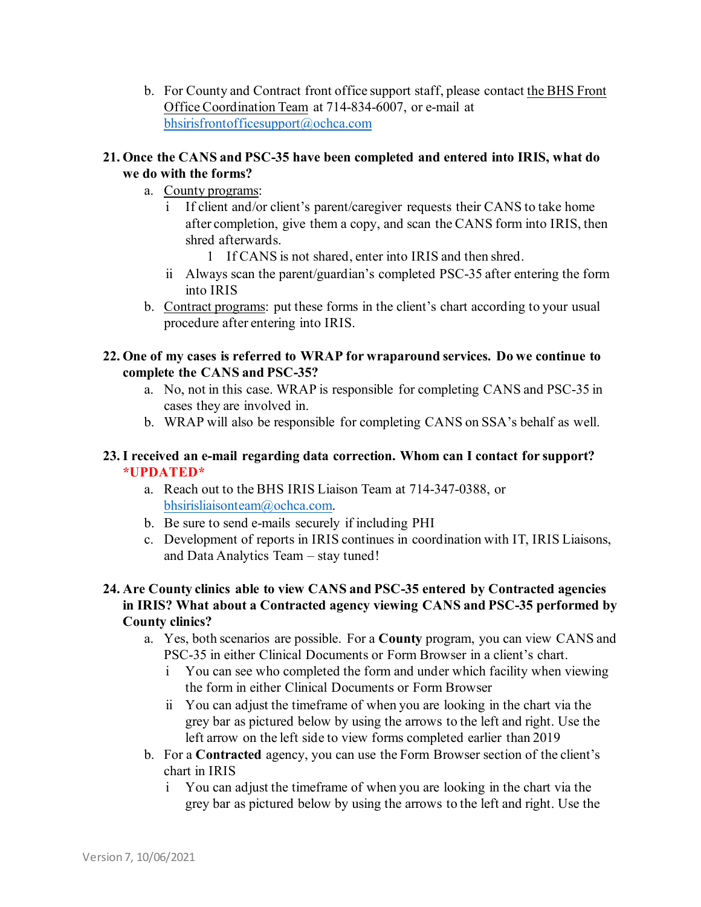b. For County and Contract front office support staff, please contact the BHS Front Office Coordination Team at 714-834-6007, or e-mail at [bhsirisfrontofficesupport@ochca.com](mailto:bhsirisfrontofficesupport@ochca.com)

#### **21. Once the CANS and PSC-35 have been completed and entered into IRIS, what do we do with the forms?**

- a. County programs:
	- i If client and/or client's parent/caregiver requests their CANS to take home after completion, give them a copy, and scan the CANS form into IRIS, then shred afterwards.
		- 1 If CANS is not shared, enter into IRIS and then shred.
	- ii Always scan the parent/guardian's completed PSC-35 after entering the form into IRIS
- b. Contract programs: put these forms in the client's chart according to your usual procedure after entering into IRIS.

#### **22. One of my cases is referred to WRAP for wraparound services. Do we continue to complete the CANS and PSC-35?**

- a. No, not in this case. WRAP is responsible for completing CANS and PSC-35 in cases they are involved in.
- b. WRAP will also be responsible for completing CANS on SSA's behalf as well.

## **23.I received an e-mail regarding data correction. Whom can I contact for support? \*UPDATED\***

- a. Reach out to the BHS IRIS Liaison Team at 714-347-0388, or [bhsirisliaisonteam@ochca.com.](mailto:bhsirisliaisonteam@ochca.com)
- b. Be sure to send e-mails securely if including PHI
- c. Development of reports in IRIS continues in coordination with IT, IRIS Liaisons, and Data Analytics Team – stay tuned!

## **24. Are County clinics able to view CANS and PSC-35 entered by Contracted agencies in IRIS? What about a Contracted agency viewing CANS and PSC-35 performed by County clinics?**

- a. Yes, both scenarios are possible. For a **County** program, you can view CANS and PSC-35 in either Clinical Documents or Form Browser in a client's chart.
	- i You can see who completed the form and under which facility when viewing the form in either Clinical Documents or Form Browser
	- ii You can adjust the timeframe of when you are looking in the chart via the grey bar as pictured below by using the arrows to the left and right. Use the left arrow on the left side to view forms completed earlier than 2019
- b. For a **Contracted** agency, you can use the Form Browser section of the client's chart in IRIS
	- i You can adjust the timeframe of when you are looking in the chart via the grey bar as pictured below by using the arrows to the left and right. Use the